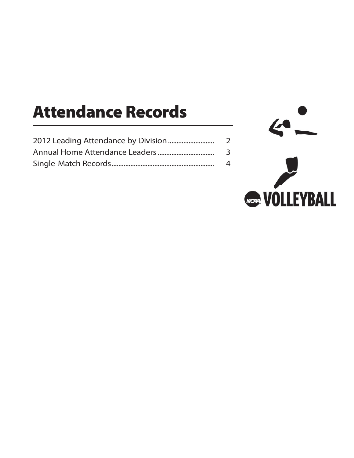# **Attendance Records**

| 2 |
|---|
| 3 |
| 4 |

 $\mathbf{C}$ **See VOLLEYBALL**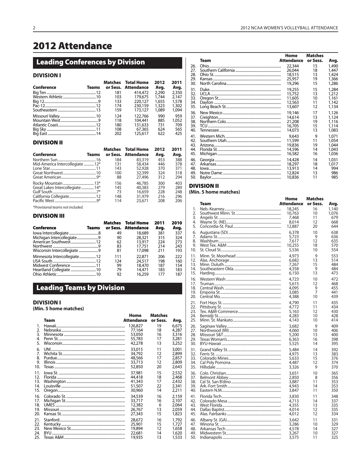# 2012 Attendance

# **Leading Conferences by Division**

#### **DIVISION I**

|            |              |     | <b>Matches</b> Total Home | 2012  | 2011  |
|------------|--------------|-----|---------------------------|-------|-------|
| Conference | <b>Teams</b> |     | or Sess. Attendance       | Avg.  | Avg.  |
|            |              | 181 | 414,472                   | 2,290 | 2,350 |
|            |              | 103 | 179,675                   | 1.744 | 2.147 |
|            |              | 133 | 220.127                   | 1.655 | 1,578 |
|            |              | 174 | 230.159                   | 1,323 | 1,302 |
|            |              | 159 | 173,127                   | 1.089 | 1,094 |
|            |              | 124 | 122,766                   | 990   | 959   |
|            |              | 118 | 104.441                   | 885   | 1.052 |
|            |              | 180 | 131,633                   | 731   | 709   |
|            |              | 108 | 67,365                    | 624   | 565   |
|            |              | 202 | 125,617                   | 622   | 425   |

#### **DIVISION II**

| Conference                      | <b>Teams</b> |     | <b>Matches</b> Total Home<br>or Sess. Attendance | 2012<br>Avg. | 2011<br>Avg. |
|---------------------------------|--------------|-----|--------------------------------------------------|--------------|--------------|
|                                 |              | 184 | 83,319                                           | 453          | 388          |
| Mid-America Intercollegiate 12* |              | 131 | 58,434                                           | 446          | 378          |
|                                 |              | 143 | 52,928                                           | 370          | 371          |
|                                 |              | 100 | 32,399                                           | 324          | 318          |
|                                 |              | 88  | 27,496                                           | 312          | 294          |
|                                 |              | 156 | 46,785                                           | 300          | 403          |
| Great Lakes Intercollegiate14*  |              | 145 | 40,383                                           | 279          | 289          |
|                                 |              | 73  | 16,659                                           | 228          | 248          |
|                                 |              | 148 | 31,979                                           | 216          | 296          |
|                                 |              | 114 | 23,671                                           | 208          | 206          |

\*Provisional teams not included.

### **DIVISION III**

| Conference                   | Teams |     | <b>Matches</b> Total Home<br>or Sess. Attendance | 2011<br>Avg. | 2010<br>Avg. |
|------------------------------|-------|-----|--------------------------------------------------|--------------|--------------|
|                              |       | 49  | 18,689                                           | 381          | 337          |
| Michigan Intercollegiate9    |       | 90  | 28,321                                           | 315          | 324          |
|                              |       | 62  | 13,917                                           | 224          | 273          |
|                              |       | 83  | 17.751                                           | 214          | 243          |
| Wisconsin Intercollegiate 9  |       | 81  | 17,098                                           | 211          | 193          |
| Minnesota Intercollegiate 12 |       | 111 | 22,871                                           | 206          | 222          |
|                              |       | 124 | 24,517                                           | 198          | 160          |
| Midwest Conference 11        |       | 99  | 18,470                                           | 187          | 154          |
| Heartland Collegiate  10     |       | 79  | 14,471                                           | 183          | 183          |
|                              |       | 92  | 16,259                                           | 177          | 187          |

# **Leading Teams by Division**

### **DIVISION I**

(Min. 5 home matches)

|     |      | Home              | <b>Matches</b> |       |
|-----|------|-------------------|----------------|-------|
|     | Team | <b>Attendance</b> | or Sess.       | Avg.  |
| 1.  |      | 126.827           | 19             | 6.675 |
| 2.  |      | 77,164            | 18             | 4,287 |
| 3.  |      | 53,050            | 16             | 3,316 |
| 4.  |      | 55,783            | 17             | 3,281 |
| 5.  |      | 42,278            | 13             | 3,252 |
| 6.  |      | 33,015            | 11             | 3,001 |
| 7.  |      | 34,792            | 12             | 2,899 |
| 8.  |      | 48,566            | 17             | 2,857 |
| 9.  |      | 33,713            | 12             | 2,809 |
| 10. |      | 52,850            | 20             | 2,643 |
| 11. |      | 37,981            | 15             | 2,532 |
| 12. |      | 44,418            | 18             | 2,468 |
| 13. |      | 41,343            | 17             | 2.432 |
| 14. |      | 51,507            | 22             | 2,341 |
| 15. |      | 30,960            | 14             | 2,211 |
| 16. |      | 34,539            | 16             | 2.159 |
| 17. |      | 33,717            | 16             | 2,107 |
| 18. |      | 12,382            | 6              | 2.064 |
| 19. |      | 26.767            | 13             | 2.059 |
| 20. |      | 27,343            | 15             | 1,823 |
| 21. |      | 28,672            | 16             | 1,792 |
| 22. |      | 25,901            | 15             | 1,727 |
| 23. |      | 19,894            | 12             | 1,658 |
| 24. |      | 22,681            | 14             | 1,620 |
| 25. |      | 19,935            | 13             | 1,533 |

|     |      | Home              | Matches  |       |
|-----|------|-------------------|----------|-------|
|     | Team | <b>Attendance</b> | or Sess. | Avg.  |
| 26. |      | 22,344            | 15       | 1,490 |
| 27. |      | 26,044            | 18       | 1.447 |
| 28. |      | 18,515            | 13       | 1.424 |
| 29. |      | 25,957            | 19       | 1,366 |
| 30. |      | 19,296            | 15       | 1,286 |
| 31. |      | 19,255            | 15       | 1,284 |
| 32. |      | 15,752            | 13       | 1,212 |
| 33. |      | 11,605            | 10       | 1.161 |
| 34. |      | 12,563            | 11       | 1,142 |
| 35. |      | 13,607            | 12       | 1,134 |
| 36. |      | 19,146            | 17       | 1,126 |
| 37. |      | 14,614            | 13       | 1,124 |
| 38. |      | 21,208            | 19       | 1.116 |
| 39. |      | 16,705            | 15       | 1,114 |
| 40. |      | 14,073            | 13       | 1,083 |
| 41. |      | 9,643             | 9        | 1.071 |
| 42. |      | 11,599            | 11       | 1,054 |
| 43. |      | 19,836            | 19       | 1.044 |
| 44. |      | 14,596            | 14       | 1,043 |
| 45. |      | 16,582            | 16       | 1,036 |
| 46. |      | 14,428            | 14       | 1.031 |
| 47. |      | 18,297            | 18       | 1,017 |
| 48. |      | 13,913            | 14       | 994   |
| 49. |      | 12,824            | 13       | 986   |
| 50. |      | 10,836            | 11       | 985   |
|     |      |                   |          |       |

### **DIVISION II**

#### (Min. 5 home matches)

|     |      | Home       | Matches  |            |
|-----|------|------------|----------|------------|
|     | Team | Attendance | or Sess. | Avg.       |
| 1.  |      | 18,245     | 16       | 1,140      |
| 2.  |      | 10,763     | 10       | 1,076      |
| 3.  |      | 7.468      | 11       | 679        |
| 4.  |      | 8,014      | 12       | 668        |
| 5.  |      | 12,887     | 20       | 644        |
|     |      |            |          |            |
| 6.  |      | 6,378      | 10       | 638        |
| 7.  |      | 5,723      | 9        | 636        |
| 8.  |      | 7,617      | 12       | 635        |
| 9.  |      | 10,255     | 18       | 570        |
| 10. |      | 5,536      | 10       | 554        |
| 11. |      | 4,973      | 9        | 553        |
| 12. |      | 6.682      | 13       | 514        |
| 13. |      | 7,267      | 15       | 484        |
| 14. |      | 4,358      | 9        | 484        |
| 15. |      | 6,150      | 13       | 473        |
| 16. |      | 4.723      | 10       | 472        |
| 17. |      |            |          |            |
| 18. |      | 5,615      | 12<br>9  | 468<br>455 |
|     |      | 4.095      | 7        |            |
| 19. |      | 3,085      |          | 441        |
| 20. |      | 4,388      | 10       | 439        |
| 21. |      | 4,790      | 11       | 435        |
| 22. |      | 4,772      | 11       | 434        |
| 23. |      | 5,163      | 12       | 430        |
| 24. |      | 4,283      | 10       | 428        |
| 25. |      | 4,143      | 10       | 414        |
| 26. |      | 3,682      | 9        | 409        |
| 27. |      | 4,060      | 10       | 406        |
| 28. |      | 5,200      | 13       | 400        |
| 29. |      | 6,363      | 16       | 398        |
| 30. |      | 5,525      | 14       | 395        |
|     |      |            |          |            |
| 31. |      | 5,484      | 14       | 392        |
| 32. |      | 4,975      | 13       | 383        |
| 33. |      | 5,633      | 15       | 376        |
| 34. |      | 4,487      | 12       | 374        |
| 35. |      | 3,326      | 9        | 370        |
| 36. |      | 3,651      | 10       | 365        |
| 37. |      | 2,850      | 8        | 356        |
| 38. |      | 3,887      | 11       | 353        |
| 39. |      | 4,943      | 14       | 353        |
| 40. |      | 3,847      | 11       | 350        |
|     |      |            |          |            |
| 41. |      | 3,830      | 11       | 348        |
| 42. |      | 4,713      | 14       | 337        |
| 43. |      | 4,355      | 13       | 335        |
| 44. |      | 4,014      | 12       | 335        |
| 45. |      | 4,012      | 12       | 334        |
| 46. |      | 3,642      | 11       | 331        |
| 47. |      | 3,286      | 10       | 329        |
| 48. |      | 4,578      | 14       | 327        |
| 49. |      | 3,267      | 10       | 327        |
| 50. |      | 3,575      | 11       | 325        |
|     |      |            |          |            |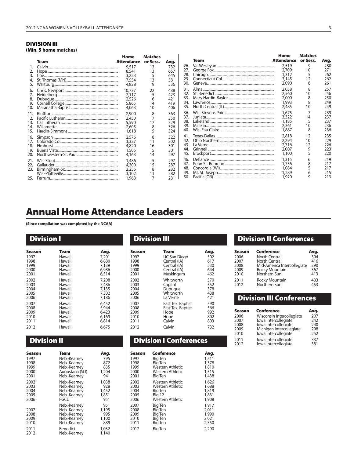#### **DIVISION III (Min. 5 home matches)**

|                          |      |                                            | Matches                             |                                 |                                 |             | Home                                      | <b>Matches</b>           |                                 |
|--------------------------|------|--------------------------------------------|-------------------------------------|---------------------------------|---------------------------------|-------------|-------------------------------------------|--------------------------|---------------------------------|
|                          | Team | Home<br><b>Attendance</b>                  | or Sess.                            | Avg.                            |                                 | <b>Team</b> | Attendance                                | or Sess.                 | Avg.                            |
| 3.<br>5.                 |      | 9,517<br>8,541<br>3,223<br>7,554<br>4,828  | 13<br>13<br>5<br>13<br>9            | 732<br>657<br>645<br>581<br>536 | 26.<br>27.<br>28.<br>29.<br>30. |             | 2,519<br>2,709<br>1,312<br>3,145<br>2,090 | 9<br>10<br>12<br>8       | 280<br>271<br>262<br>262<br>261 |
| 6.<br>8.<br>9.<br>10.    |      | 10,737<br>2,117<br>2,526<br>5,865<br>4,063 | 22<br>5<br>6<br>14<br>10            | 488<br>423<br>421<br>419<br>406 | 31.<br>32.<br>33.<br>34.<br>35. |             | 2,058<br>2,560<br>2,000<br>1,993<br>2.485 | 8<br>10<br>8<br>10       | 257<br>256<br>250<br>249<br>249 |
| 14.<br>15.               |      | 2,900<br>2,450<br>5,590<br>2,605<br>1,618  | 8<br>$\overline{7}$<br>17<br>8<br>5 | 363<br>350<br>329<br>326<br>324 | 36.<br>37.<br>38.<br>39.<br>40. |             | 1,675<br>3,322<br>1,185<br>2,361<br>1,887 | 14<br>10<br>8            | 239<br>237<br>237<br>236<br>236 |
| 16.<br>18.<br>19.<br>20. |      | 2,576<br>3,327<br>4,820<br>1,505<br>4,163  | 8<br>11<br>16<br>5<br>14            | 322<br>302<br>301<br>301<br>297 | 42.<br>43.<br>44.<br>45.        |             | 2,818<br>2,294<br>2,716<br>2,007<br>1,100 | 12<br>10<br>12<br>9<br>5 | 235<br>229<br>226<br>223<br>220 |
| 21.<br>22.<br>23.        |      | 1,486<br>4,300<br>2,256<br>3,102<br>1,968  | 5<br>15<br>8<br>11                  | 297<br>287<br>282<br>282<br>281 | 46.<br>47.<br>48.<br>49.<br>50. |             | 1,315<br>1,736<br>1,084<br>1,289<br>1,920 | 6                        | 219<br>217<br>217<br>215<br>213 |

# **Annual Home Attendance Leaders**

**(Since compilation was completed by the NCAA)**

| <b>Division I</b> |        |       |
|-------------------|--------|-------|
| Season            | Team   | Avg.  |
| 1997              | Hawaii | 7.201 |
| 1998              | Hawaii | 6,880 |
| 1999              | Hawaii | 7,139 |
| 2000              | Hawaii | 6.986 |
| 2001              | Hawaii | 6,514 |
| 2002              | Hawaii | 7,208 |
| 2003              | Hawaii | 7.486 |
| 2004              | Hawaii | 7,135 |
| 2005              | Hawaii | 7,302 |
| 2006              | Hawaii | 7.186 |
| 2007              | Hawaii | 6.452 |
| 2008              | Hawaii | 5,944 |
| 2009              | Hawaii | 6,423 |
| 2010              | Hawaii | 6,169 |
| 2011              | Hawaii | 6,814 |
| 2012              | Hawaii | 6.675 |

# **Division II**

| Season                       | Team                                                                         | Avg.                                |
|------------------------------|------------------------------------------------------------------------------|-------------------------------------|
| 1997                         | Neb.-Kearney                                                                 | 795                                 |
| 1998                         | Neb.-Kearney                                                                 | 872                                 |
| 1999                         | Neb.-Kearney                                                                 | 835                                 |
| 2000                         | Augustana (SD)                                                               | 1,204                               |
| 2001                         | Neb.-Kearney                                                                 | 941                                 |
| 2002                         | Neb.-Kearney                                                                 | 1,038                               |
| 2003                         | Neb.-Kearney                                                                 | 928                                 |
| 2004                         | Neb.-Kearney                                                                 | 1,452                               |
| 2005                         | Neb.-Kearney                                                                 | 1,851                               |
| 2006                         | FGCU                                                                         | 951                                 |
| 2007<br>2008<br>2009<br>2010 | Neb.-Kearney<br>Neb.-Kearney<br>Neb.-Kearney<br>Neb.-Kearney<br>Neb.-Kearney | 951<br>1,195<br>995<br>1,100<br>889 |
| 2011                         | Benedict                                                                     | 1,032                               |
| 2012                         | Neb.-Kearney                                                                 | 1,140                               |

| <b>Division III</b> |                     |      |  |  |
|---------------------|---------------------|------|--|--|
| Season              | Team                | Avg. |  |  |
| 1997                | <b>UC San Diego</b> | 502  |  |  |
| 1998                | Central (IA)        | 617  |  |  |
| 1999                | Central (IA)        | 530  |  |  |
| 2000                | Central (IA)        | 644  |  |  |
| 2001                | Muskingum           | 462  |  |  |
| 2002                | Whitworth           | 570  |  |  |
| 2003                | Capital             | 552  |  |  |
| 2004                | Dubuque             | 378  |  |  |
| 2005                | Whitworth           | 438  |  |  |
| 2006                | La Verne            | 421  |  |  |
| 2007                | East Tex. Baptist   | 590  |  |  |
| 2008                | East Tex. Baptist   | 566  |  |  |
| 2009                | Hope                | 992  |  |  |
| 2010                | Hope                | 802  |  |  |
| 2011                | Calvin              | 803  |  |  |
| 2012                | Calvin              | 732  |  |  |
|                     |                     |      |  |  |

# **Division I Conferences**

| Season | Conference       | Avg.  |
|--------|------------------|-------|
| 1997   | Big Ten          | 1,511 |
| 1998   | Big Ten          | 1,378 |
| 1999   | Western Athletic | 1,810 |
| 2000   | Western Athletic | 1,515 |
| 2001   | Big Ten          | 1,438 |
| 2002   | Western Athletic | 1,626 |
| 2003   | Western Athletic | 1,688 |
| 2004   | <b>Big Ten</b>   | 1,819 |
| 2005   | <b>Big 12</b>    | 1,831 |
| 2006   | Western Athletic | 1,908 |
| 2007   | Big Ten          | 1,917 |
| 2008   | Big Ten          | 2.011 |
| 2009   | Big Ten          | 1,990 |
| 2010   | Big Ten          | 2,021 |
| 2011   | Big Ten          | 2,350 |
| 2012   | <b>Big Ten</b>   | 2,290 |

# **Division II Conferences**

| Season       | Conference                     | Avg.       |
|--------------|--------------------------------|------------|
| 2006         | <b>North Central</b>           | 394        |
| 2007         | <b>North Central</b>           | 416        |
| 2008         | Mid-America Intercollegiate    | 390        |
| 2009         | Rocky Mountain                 | 367        |
| 2010         | Northern Sun                   | 413        |
| 2011<br>2012 | Rocky Mountain<br>Northern Sun | 403<br>453 |

# **Division III Conferences**

| Season       | Conference                                   | Avg.       |
|--------------|----------------------------------------------|------------|
| 2006         | Wisconsin Intercollegiate                    | 207        |
| 2007         | lowa Intercollegiate                         | 242        |
| 2008         | lowa Intercollegiate                         | 240        |
| 2009         | Michigan Intercollegiate                     | 298        |
| 2010         | lowa Intercollegiate                         | 252        |
| 2011<br>2012 | lowa Intercollegiate<br>lowa Intercollegiate | 337<br>381 |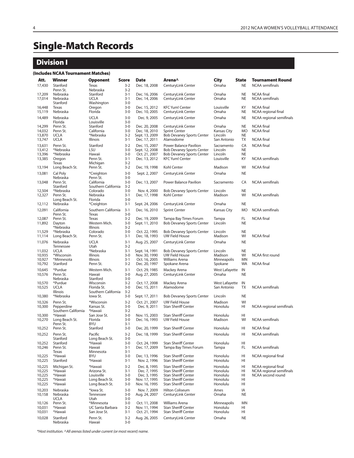# **Single-Match Records**

# **Division I**

#### **(Includes NCAA Tournament Matches)**

| Att.             | Winner                         | <b>Opponent</b>                 | <b>Score</b>       | <b>Date</b>                     | Arena^                                                               | <b>City</b>                    | <b>State</b>           | <b>Tournament Round</b>                       |
|------------------|--------------------------------|---------------------------------|--------------------|---------------------------------|----------------------------------------------------------------------|--------------------------------|------------------------|-----------------------------------------------|
| 17,430           | Stanford<br>Penn St.           | Texas<br>Nebraska               | $3 - 2$<br>$3 - 2$ | Dec. 18, 2008                   | CenturyLink Center                                                   | Omaha                          | <b>NE</b>              | <b>NCAA</b> semifinals                        |
| 17,209<br>17,014 | Nebraska<br>Nebraska           | Stanford<br><b>UCLA</b>         | $3-1$<br>$3 - 1$   | Dec. 16, 2006<br>Dec. 14, 2006  | CenturyLink Center<br>CenturyLink Center                             | Omaha<br>Omaha                 | NE<br><b>NE</b>        | <b>NCAA</b> final<br>NCAA semifinals          |
|                  | Stanford                       | Washington                      | $3 - 0$            |                                 |                                                                      |                                |                        |                                               |
| 16,448<br>15,119 | Texas<br>Nebraska              | Oregon<br>Florida               | $3-0$<br>$3 - 0$   | Dec. 15, 2012<br>Dec. 10, 2005  | <b>KFC Yum! Center</b><br>CenturyLink Center                         | Louisville<br>Omaha            | KY<br><b>NE</b>        | <b>NCAA</b> final<br>NCAA regional final      |
| 14,489           | Nebraska<br>Florida            | <b>UCLA</b><br>Louisville       | $3 - 0$<br>$3 - 0$ | Dec. 9, 2005                    | CenturyLink Center                                                   | Omaha                          | <b>NE</b>              | NCAA regional semifinals                      |
| 14,299           | Penn St.                       | Stanford                        | $3 - 0$            | Dec. 20, 2008                   | CenturyLink Center                                                   | Omaha                          | <b>NE</b>              | <b>NCAA</b> final                             |
| 14,032<br>13,870 | Penn St.<br><b>UCLA</b>        | California<br>*Nebraska         | $3 - 0$<br>$3 - 2$ | Dec. 18, 2010<br>Sept. 13, 2009 | <b>Sprint Center</b><br><b>Bob Devaney Sports Center</b>             | Kansas City<br>Lincoln         | <b>MO</b><br><b>NE</b> | <b>NCAA</b> final                             |
| 13,747           | <b>UCLA</b>                    | Illinois                        | $3 - 1$            | Dec. 17, 2011                   | Alamodome                                                            | San Antonio                    | ТX                     | <b>NCAA</b> final                             |
| 13,631           | Penn St.                       | Stanford                        | $3 - 2$            | Dec. 15, 2007                   | <b>Power Balance Pavilion</b>                                        | Sacramento                     | CA                     | <b>NCAA</b> final                             |
| 13,412<br>13,396 | *Nebraska<br>*Nebraska         | LSU<br>Hawaii                   | $3 - 0$<br>$3 - 0$ | Sept. 12, 2008<br>Oct. 21, 2007 | <b>Bob Devaney Sports Center</b><br><b>Bob Devaney Sports Center</b> | Lincoln<br>Lincoln             | <b>NE</b><br>NE        |                                               |
| 13,385           | Oregon                         | Penn St.                        | $3 - 1$            | Dec. 13, 2012                   | <b>KFC Yum! Center</b>                                               | Louisville                     | ΚY                     | NCAA semifinals                               |
| 13,194           | Texas<br>Long Beach St.        | Michigan<br>Penn St.            | $3 - 2$<br>$3 - 2$ | Dec. 19, 1998                   | Kohl Center                                                          | Madison                        | WI                     | <b>NCAA</b> final                             |
| 13,081           | Cal Poly                       | *Creighton                      | $3 - 0$            | Sept. 2, 2007                   | CenturyLink Center                                                   | Omaha                          | <b>NE</b>              |                                               |
| 13,048           | Nebraska<br>Penn St.           | Penn St.<br>California          | $3 - 0$<br>$3 - 0$ | Dec. 13, 2007                   | Power Balance Pavilion                                               | Sacramento                     | CA                     | <b>NCAA</b> semifinals                        |
|                  | Stanford                       | Southern California             | $3 - 2$            |                                 |                                                                      |                                |                        |                                               |
| 12,504           | *Nebraska<br>Penn St.          | Colorado<br>Nebraska            | $3-0$<br>$3-1$     | Nov. 4, 2000                    | <b>Bob Devaney Sports Center</b>                                     | Lincoln<br>Madison             | <b>NE</b><br>WI        | <b>NCAA</b> semifinals                        |
| 12,327           | Long Beach St.                 | Florida                         | $3 - 0$            | Dec. 17, 1998                   | Kohl Center                                                          |                                |                        |                                               |
| 12,112           | Nebraska                       | *Creighton                      | $3-1$              | Sept. 24, 2006                  | CenturyLink Center                                                   | Omaha                          | <b>NE</b>              |                                               |
| 12,091           | California<br>Penn St.         | Southern California<br>Texas    | $3-1$<br>$3-0$     | Dec. 16, 2010                   | <b>Sprint Center</b>                                                 | <b>Kansas City</b>             | <b>MO</b>              | <b>NCAA</b> semifinals                        |
| 12,087<br>11,892 | Penn St.<br>Dayton             | Texas<br>Western Mich.          | $3 - 2$<br>$3 - 0$ | Dec. 19, 2009<br>Sept. 11, 2010 | Tampa Bay Times Forum<br><b>Bob Devaney Sports Center</b>            | Tampa<br>Lincoln               | FL<br><b>NE</b>        | <b>NCAA</b> final                             |
|                  | *Nebraska                      | Illinois                        | $3 - 2$            |                                 |                                                                      |                                |                        |                                               |
| 11,529<br>11,114 | *Nebraska<br>Long Beach St.    | Colorado<br>Penn St.            | $3-0$<br>$3-1$     | Oct. 22, 1995<br>Dec. 18, 1993  | <b>Bob Devaney Sports Center</b><br><b>UW Field House</b>            | Lincoln<br>Madison             | <b>NE</b><br>WI        | <b>NCAA</b> final                             |
| 11,076           | Nebraska                       | <b>UCLA</b>                     | $3-1$              | Aug. 25, 2007                   | CenturyLink Center                                                   | Omaha                          | <b>NE</b>              |                                               |
|                  | Tennessee                      | Utah                            | $3 - 2$            |                                 |                                                                      |                                |                        |                                               |
| 11,032<br>10,935 | <b>UCLA</b><br>*Wisconsin      | *Nebraska<br>Illinois           | $3-1$<br>$3-0$     | Sept. 14, 1991<br>Nov. 30, 1990 | <b>Bob Devaney Sports Center</b><br><b>UW Field House</b>            | Lincoln<br>Madison             | <b>NE</b><br>WI        | NCAA first round                              |
| 10,927           | *Minnesota                     | Illinois                        | $3-1$              | Oct. 16, 2005                   | Williams Arena                                                       | Minneapolis                    | MN                     |                                               |
| 10,792<br>10,645 | Stanford<br>*Purdue            | Penn St.                        | $3 - 2$<br>$3 - 1$ | Dec. 20, 1997<br>Oct. 29, 1985  | Spokane Arena                                                        | Spokane                        | <b>WA</b><br>IN        | <b>NCAA</b> final                             |
| 10,576           | Penn St.                       | Western Mich.<br>Hawaii         | $3 - 0$            | Aug. 27, 2005                   | Mackey Arena<br>CenturyLink Center                                   | <b>West Lafayette</b><br>Omaha | <b>NE</b>              |                                               |
| 10,570           | Nebraska<br>*Purdue            | Stanford<br>Wisconsin           | $3 - 0$<br>$3 - 2$ | Oct. 17, 2008                   | Mackey Arena                                                         | <b>West Lafayette</b>          | IN                     |                                               |
| 10,525           | <b>UCLA</b>                    | Florida St.                     | $3 - 0$            | Dec. 15, 2011                   | Alamodome                                                            | San Antonio                    | <b>TX</b>              | <b>NCAA</b> semifinals                        |
| 10,380           | Illinois<br>*Nebraska          | Southern California<br>lowa St. | $3 - 2$<br>$3 - 0$ | Sept. 17, 2011                  | <b>Bob Devaney Sports Center</b>                                     | Lincoln                        | <b>NE</b>              |                                               |
| 10,326           | Penn St.                       | *Wisconsin                      | $3 - 2$            | Oct. 21, 2007                   | <b>UW Field House</b>                                                | Madison                        | WI                     |                                               |
| 10,300           | Pepperdine                     | Kansas St.                      | $3 - 0$            | Dec. 9, 2011                    | <b>Stan Sheriff Center</b>                                           | Honolulu                       | HI                     | NCAA regional semifinals                      |
| 10,300           | Southern California<br>*Hawaii | *Hawaii<br>San Jose St.         | $3 - 2$<br>$3 - 0$ | Nov. 15, 2003                   | <b>Stan Sheriff Center</b>                                           | Honolulu                       | HI                     |                                               |
| 10,270           | Long Beach St.<br>Penn St.     | Florida<br><b>BYU</b>           | $3 - 0$<br>$3 - 1$ | Dec. 16, 1993                   | <b>UW Field House</b>                                                | Madison                        | WI                     | <b>NCAA</b> semifinals                        |
| 10,252           | Penn St.                       | Stanford                        | $3 - 0$            | Dec. 20, 1999                   | <b>Stan Sheriff Center</b>                                           | Honolulu                       | HI                     | <b>NCAA</b> final                             |
| 10.252           | Penn St.                       | Pacific                         | $3 - 2$            | Dec. 18, 1999                   | <b>Stan Sheriff Center</b>                                           | Honolulu                       | HI                     | <b>NCAA</b> semifinals                        |
| 10,252           | Stanford<br>Stanford           | Long Beach St.<br>*Hawaii       | $3 - 0$<br>$3 - 0$ | Oct. 24, 1999                   | <b>Stan Sheriff Center</b>                                           | Honolulu                       | HI                     |                                               |
| 10,246           | Penn St.                       | Hawaii                          | $3 - 1$            | Dec. 17, 2009                   | Tampa Bay Times Forum                                                | Tampa                          | FL.                    | <b>NCAA</b> semifinals                        |
| 10,225           | Texas<br>*Hawaii               | Minnesota<br>BYU                | $3-1$<br>$3 - 0$   | Dec. 13, 1996                   | <b>Stan Sheriff Center</b>                                           | Honolulu                       | HI                     | NCAA regional final                           |
| 10,225           | Stanford                       | *Hawaii                         | $3-1$              | Nov. 2, 1996                    | <b>Stan Sheriff Center</b>                                           | Honolulu                       | HI                     |                                               |
| 10,225           | Michigan St.                   | *Hawaii<br>Arizona St.          | $3 - 2$            | Dec. 8, 1995                    | <b>Stan Sheriff Center</b>                                           | Honolulu                       | HI                     | NCAA regional final                           |
| 10,225<br>10,225 | *Hawaii<br>*Hawaii             | Louisville                      | $3-1$<br>$3 - 0$   | Dec. 7, 1995<br>Dec. 3, 1995    | <b>Stan Sheriff Center</b><br><b>Stan Sheriff Center</b>             | Honolulu<br>Honolulu           | HI<br>HI               | NCAA regional semifinals<br>NCAA second round |
| 10,225           | *Hawaii                        | Long Beach St.                  | $3 - 0$            | Nov. 17, 1995                   | <b>Stan Sheriff Center</b><br><b>Stan Sheriff Center</b>             | Honolulu<br>Honolulu           | HI                     |                                               |
| 10,225<br>10,203 | *Hawaii<br>Nebraska            | Long Beach St.<br>*lowa St.     | $3 - 0$<br>$3 - 0$ | Nov. 16, 1995<br>Nov. 7, 2009   | <b>Hilton Coliseum</b>                                               | Ames                           | HI<br>ΙA               |                                               |
| 10,158           | Nebraska                       | Tennessee                       | $3 - 0$            | Aug. 24, 2007                   | CenturyLink Center                                                   | Omaha                          | NE                     |                                               |
| 10,126           | <b>UCLA</b><br>Penn St.        | Utah<br>*Minnesota              | $3 - 0$<br>$3 - 0$ | Oct. 11, 2008                   | Williams Arena                                                       | Minneapolis                    | MN                     |                                               |
| 10.031           | *Hawaii                        | UC Santa Barbara                | $3-2$              | Nov. 11, 1994                   | <b>Stan Sheriff Center</b>                                           | Honolulu                       | HI                     |                                               |
| 10,031           | *Hawaii                        | San Jose St.                    | $3-1$              | Oct. 21, 1994                   | <b>Stan Sheriff Center</b>                                           | Honolulu                       | HI                     |                                               |
| 10,028           | Stanford<br>Nebraska           | Penn St.<br>Hawaii              | $3 - 2$<br>$3 - 0$ | Aug. 26, 2005                   | CenturyLink Center                                                   | Omaha                          | NE                     |                                               |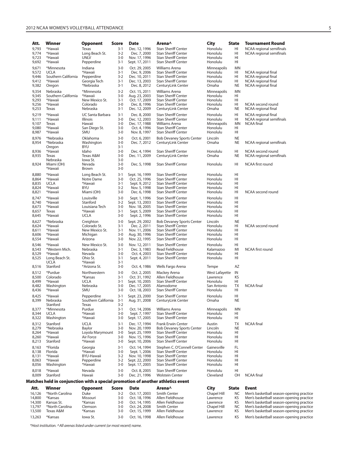### 2012 NCAA WOMEN'S VOLLEYBALL ATTENDANCE **5**

| Att.                                      | Winner                                                                           | Opponent                                                               | Score                                                    | <b>Date</b>                                                                      | Arena^                                                                                                                                  | City                                                        | <b>State</b>                             | <b>Tournament Round</b>                                                                  |
|-------------------------------------------|----------------------------------------------------------------------------------|------------------------------------------------------------------------|----------------------------------------------------------|----------------------------------------------------------------------------------|-----------------------------------------------------------------------------------------------------------------------------------------|-------------------------------------------------------------|------------------------------------------|------------------------------------------------------------------------------------------|
| 9,793                                     | *Hawaii                                                                          | Texas                                                                  | $3-1$                                                    | Dec. 12, 1996                                                                    | <b>Stan Sheriff Center</b>                                                                                                              | Honolulu                                                    | HI                                       | NCAA regional semifinals                                                                 |
| 9,774                                     | *Hawaii                                                                          | Long Beach St.                                                         | $3 - 2$                                                  | Dec. 7, 2000                                                                     | <b>Stan Sheriff Center</b>                                                                                                              | Honolulu                                                    | HI                                       | NCAA regional semifinals                                                                 |
| 9,723                                     | *Hawaii                                                                          | <b>UNLV</b>                                                            | $3 - 0$                                                  | Nov. 17, 1996                                                                    | <b>Stan Sheriff Center</b>                                                                                                              | Honolulu                                                    | HI                                       |                                                                                          |
| 9,692                                     | *Hawaii                                                                          | Pepperdine                                                             | $3-1$                                                    | Sept. 17, 2011                                                                   | <b>Stan Sheriff Center</b>                                                                                                              | Honolulu                                                    | HI                                       |                                                                                          |
| 9,671<br>9,572<br>9,446<br>9,412<br>9,382 | *Minnesota<br><b>UCLA</b><br>Southern California<br>*Hawaii<br>Oregon            | Indiana<br>*Hawaii<br>Pepperdine<br>Georgia Tech<br>*Nebraska          | $3 - 0$<br>$3-1$<br>$3 - 2$<br>$3 - 1$<br>$3-1$          | Oct. 29, 2005<br>Dec. 9, 2006<br>Dec. 10, 2011<br>Dec. 13, 2003<br>Dec. 8, 2012  | Williams Arena<br><b>Stan Sheriff Center</b><br><b>Stan Sheriff Center</b><br><b>Stan Sheriff Center</b><br>CenturyLink Center          | Minneapolis<br>Honolulu<br>Honolulu<br>Honolulu<br>Omaha    | MN<br>HI<br>HI<br>HI<br>NE               | NCAA regional final<br>NCAA regional final<br>NCAA regional final<br>NCAA regional final |
| 9,354<br>9,345<br>9,293<br>9,256<br>9,253 | Nebraska<br>Southern California<br>*Hawaii<br>*Hawaii<br>Texas                   | *Minnesota<br>*Hawaii<br>New Mexico St.<br>Colorado<br>Nebraska        | $3-2$<br>$3 - 0$<br>$3 - 1$<br>$3 - 0$<br>$3-1$          | Oct. 15, 2011<br>Aug. 23, 2003<br>Oct. 17, 2009<br>Dec. 8, 1996<br>Dec. 12, 2009 | Williams Arena<br><b>Stan Sheriff Center</b><br><b>Stan Sheriff Center</b><br><b>Stan Sheriff Center</b><br>CenturyLink Center          | Minneapolis<br>Honolulu<br>Honolulu<br>Honolulu<br>Omaha    | <b>MN</b><br>HI<br>HI<br>HI<br><b>NE</b> | NCAA second round<br>NCAA regional final                                                 |
| 9,219<br>9,111<br>9,107<br>9,080<br>8,987 | *Hawaii<br>*Hawaii<br>Texas<br>*Hawaii<br>*Hawaii                                | UC Santa Barbara<br>Illinois<br>Hawaii<br>San Diego St.<br>SMU         | $3 - 1$<br>$3 - 0$<br>$3 - 0$<br>$3 - 0$<br>$3 - 0$      | Dec. 8, 2000<br>Dec. 12, 2003<br>Dec. 17, 1988<br>Oct. 4, 1996<br>Nov. 8, 1997   | Stan Sheriff Center<br><b>Stan Sheriff Center</b><br>Williams Arena<br><b>Stan Sheriff Center</b><br><b>Stan Sheriff Center</b>         | Honolulu<br>Honolulu<br>Minneapolis<br>Honolulu<br>Honolulu | HI<br>HI<br>MN<br>HI<br>HI               | NCAA regional final<br>NCAA regional semifinals<br><b>NCAA</b> final                     |
| 8,976                                     | *Nebraska                                                                        | Oklahoma                                                               | $3 - 0$                                                  | Oct. 6, 2001                                                                     | <b>Bob Devaney Sports Center</b>                                                                                                        | Lincoln                                                     | <b>NE</b>                                | NCAA regional semifinals                                                                 |
| 8,954                                     | *Nebraska                                                                        | Washington                                                             | $3 - 0$                                                  | Dec. 7, 2012                                                                     | CenturyLink Center                                                                                                                      | Omaha                                                       | NE                                       |                                                                                          |
| 8,936<br>8,935                            | Oregon<br>*Hawaii<br>Texas                                                       | <b>BYU</b><br>Idaho<br>Texas A&M                                       | $3-1$<br>$3 - 0$<br>$3 - 0$                              | Dec. 4, 1994<br>Dec. 11, 2009                                                    | Stan Sheriff Center<br>CenturyLink Center                                                                                               | Honolulu<br>Omaha                                           | HI<br><b>NE</b>                          | NCAA second round<br>NCAA regional semifinals                                            |
| 8,924                                     | Nebraska<br>Miami (OH)<br>*Hawaii                                                | lowa St.<br>Nevada<br>Brown                                            | $3 - 0$<br>$3 - 0$<br>$3 - 0$                            | Dec. 5, 1998                                                                     | <b>Stan Sheriff Center</b>                                                                                                              | Honolulu                                                    | HI                                       | NCAA first round                                                                         |
| 8,880                                     | *Hawaii                                                                          | Long Beach St.                                                         | $3 - 1$                                                  | Sept. 16, 1999                                                                   | <b>Stan Sheriff Center</b>                                                                                                              | Honolulu                                                    | HI                                       | NCAA second round                                                                        |
| 8,864                                     | *Hawaii                                                                          | Notre Dame                                                             | $3 - 0$                                                  | Oct. 25, 1996                                                                    | <b>Stan Sheriff Center</b>                                                                                                              | Honolulu                                                    | HI                                       |                                                                                          |
| 8,835                                     | <b>UCLA</b>                                                                      | *Hawaii                                                                | $3-1$                                                    | Sept. 9, 2012                                                                    | <b>Stan Sheriff Center</b>                                                                                                              | Honolulu                                                    | HI                                       |                                                                                          |
| 8,824                                     | *Hawaii                                                                          | <b>BYU</b>                                                             | $3 - 2$                                                  | Nov. 5, 1998                                                                     | <b>Stan Sheriff Center</b>                                                                                                              | Honolulu                                                    | HI                                       |                                                                                          |
| 8,821                                     | *Hawaii                                                                          | Miami (OH)                                                             | $3 - 0$                                                  | Dec. 6, 1998                                                                     | <b>Stan Sheriff Center</b>                                                                                                              | Honolulu                                                    | HI                                       |                                                                                          |
| 8,747                                     | *Hawaii                                                                          | Louisville                                                             | $3 - 0$                                                  | Sept. 1, 1996                                                                    | <b>Stan Sheriff Center</b>                                                                                                              | Honolulu                                                    | HI                                       |                                                                                          |
| 8,740                                     | *Hawaii                                                                          | Stanford                                                               | $3 - 2$                                                  | Sept. 13, 2003                                                                   | <b>Stan Sheriff Center</b>                                                                                                              | Honolulu                                                    | HI                                       |                                                                                          |
| 8,673                                     | *Hawaii                                                                          | Louisiana Tech                                                         | $3 - 0$                                                  | Nov. 18, 2005                                                                    | <b>Stan Sheriff Center</b>                                                                                                              | Honolulu                                                    | HI                                       |                                                                                          |
| 8,657                                     | Texas                                                                            | *Hawaii                                                                | $3-1$                                                    | Sept. 5, 2009                                                                    | <b>Stan Sheriff Center</b>                                                                                                              | Honolulu                                                    | HI                                       |                                                                                          |
| 8,645                                     | *Hawaii                                                                          | <b>UCLA</b>                                                            | $3 - 0$                                                  | Sept. 2, 1996                                                                    | Stan Sheriff Center                                                                                                                     | Honolulu                                                    | HI                                       |                                                                                          |
| 8,627                                     | *Nebraska                                                                        | Creighton                                                              | $3 - 0$                                                  | Sept. 29, 2002                                                                   | <b>Bob Devaney Sports Center</b>                                                                                                        | Lincoln                                                     | <b>NE</b>                                | NCAA second round                                                                        |
| 8,624                                     | *Hawaii                                                                          | Colorado St.                                                           | $3-1$                                                    | Dec. 2, 2011                                                                     | <b>Stan Sheriff Center</b>                                                                                                              | Honolulu                                                    | HI                                       |                                                                                          |
| 8,611                                     | *Hawaii                                                                          | New Mexico St.                                                         | $3-1$                                                    | Nov. 11, 2006                                                                    | <b>Stan Sheriff Center</b>                                                                                                              | Honolulu                                                    | HI                                       |                                                                                          |
| 8,606                                     | *Hawaii                                                                          | Michigan                                                               | $3 - 0$                                                  | Aug. 30, 1996                                                                    | <b>Stan Sheriff Center</b>                                                                                                              | Honolulu                                                    | HI                                       |                                                                                          |
| 8,554<br>8,546<br>8,543<br>8,529<br>8,525 | *Hawaii<br>*Hawaii<br>*Western Mich.<br>*Hawaii<br>Long Beach St.<br><b>UCLA</b> | Arizona<br>New Mexico St.<br>Nebraska<br>Nevada<br>Ohio St.<br>*Hawaii | $3 - 0$<br>$3 - 0$<br>$3-1$<br>$3 - 0$<br>$3-1$<br>$3-1$ | Nov. 22, 1995<br>Nov. 12, 2011<br>Dec. 3, 1983<br>Oct. 4, 2003<br>Sept. 4, 2011  | <b>Stan Sheriff Center</b><br><b>Stan Sheriff Center</b><br>Read Fieldhouse<br><b>Stan Sheriff Center</b><br><b>Stan Sheriff Center</b> | Honolulu<br>Honolulu<br>Kalamazoo<br>Honolulu<br>Honolulu   | HI<br>HI<br>MI<br>HI<br>HI               | NCAA first round                                                                         |
| 8,516                                     | Stanford                                                                         | *Arizona St.                                                           | $3 - 0$                                                  | Oct. 4, 1986                                                                     | Wells Fargo Arena                                                                                                                       | Tempe                                                       | AZ                                       | <b>NCAA</b> final                                                                        |
| 8,512                                     | *Purdue                                                                          | Northwestern                                                           | $3 - 0$                                                  | Oct. 2, 2005                                                                     | Mackey Arena                                                                                                                            | West Lafayette                                              | IN                                       |                                                                                          |
| 8,500                                     | Colorado                                                                         | *Kansas                                                                | $3-1$                                                    | Oct. 31, 1992                                                                    | Allen Fieldhouse                                                                                                                        | Lawrence                                                    | ΚS                                       |                                                                                          |
| 8,499                                     | *Hawaii                                                                          | <b>UCLA</b>                                                            | $3-1$                                                    | Sept. 10, 2005                                                                   | <b>Stan Sheriff Center</b>                                                                                                              | Honolulu                                                    | HI                                       |                                                                                          |
| 8,482                                     | Washington                                                                       | Nebraska                                                               | $3 - 0$                                                  | Dec. 17, 2005                                                                    | Alamodome                                                                                                                               | San Antonio                                                 | TX                                       |                                                                                          |
| 8,436<br>8,425<br>8,399                   | *Hawaii<br>*Hawaii<br>Nebraska<br>Stanford                                       | SMU<br>Pepperdine<br>Southern California<br>Texas                      | $3 - 0$<br>$3 - 1$<br>$3-1$<br>$3 - 2$                   | Oct. 18, 2003<br>Sept. 23, 2000<br>Aug. 31, 2008                                 | <b>Stan Sheriff Center</b><br>Stan Sheriff Center<br>CenturyLink Center                                                                 | Honolulu<br>Honolulu<br>Omaha                               | HI<br>HI<br><b>NE</b>                    |                                                                                          |
| 8,377                                     | *Minnesota                                                                       | Purdue                                                                 | $3 - 1$                                                  | Oct. 14, 2006                                                                    | Williams Arena                                                                                                                          | Minneapolis                                                 | ΜN                                       |                                                                                          |
| 8,344                                     | <b>UCLA</b>                                                                      | *Hawaii                                                                | $3 - 0$                                                  | Sept. 7, 1997                                                                    | <b>Stan Sheriff Center</b>                                                                                                              | Honolulu                                                    | HI                                       |                                                                                          |
| 8,322                                     | Washington                                                                       | *Hawaii                                                                | $3 - 0$                                                  | Sept. 17, 2005                                                                   | <b>Stan Sheriff Center</b>                                                                                                              | Honolulu                                                    | HI                                       |                                                                                          |
| 8,312                                     | Stanford                                                                         | <b>UCLA</b>                                                            | $3-1$                                                    | Dec. 17, 1994                                                                    | <b>Frank Erwin Center</b>                                                                                                               | Austin                                                      | ТX                                       | <b>NCAA</b> final                                                                        |
| 8,279                                     | *Nebraska                                                                        | Baylor                                                                 | $3 - 0$                                                  | Nov. 20, 1999                                                                    | <b>Bob Devaney Sports Center</b>                                                                                                        | Lincoln                                                     | <b>NE</b>                                |                                                                                          |
| 8,264                                     | *Hawaii                                                                          | Loyola Marymount                                                       | $3-0$                                                    | Sept. 25, 1999                                                                   | <b>Stan Sheriff Center</b>                                                                                                              | Honolulu                                                    | HI                                       |                                                                                          |
| 8,260                                     | *Hawaii                                                                          | Air Force                                                              | $3 - 0$                                                  | Nov. 15, 1996                                                                    | <b>Stan Sheriff Center</b>                                                                                                              | Honolulu                                                    | HI                                       |                                                                                          |
| 8,213                                     | Stanford                                                                         | *Hawaii                                                                | $3 - 0$                                                  | Sept. 10, 2006                                                                   | <b>Stan Sheriff Center</b>                                                                                                              | Honolulu                                                    | HI                                       |                                                                                          |
| 8,163                                     | *Florida                                                                         | Georgia                                                                | $3-1$                                                    | Oct. 14, 1994                                                                    | Stephen C. O'Connell Center                                                                                                             | Gainesville                                                 | FL                                       |                                                                                          |
| 8,138                                     | Florida                                                                          | *Hawaii                                                                | $3 - 0$                                                  | Sept. 1, 2006                                                                    | <b>Stan Sheriff Center</b>                                                                                                              | Honolulu                                                    | HI                                       |                                                                                          |
| 8,131                                     | *Hawaii                                                                          | <b>BYU-Hawaii</b>                                                      | $3 - 2$                                                  | Nov. 10, 1998                                                                    | Stan Sheriff Center                                                                                                                     | Honolulu                                                    | HI                                       |                                                                                          |
| 8,063                                     | *Hawaii                                                                          | Pepperdine                                                             | $3 - 2$                                                  | Sept. 22, 2000                                                                   | <b>Stan Sheriff Center</b>                                                                                                              | Honolulu                                                    | HI                                       |                                                                                          |
| 8,056                                     | Washington                                                                       | *Hawaii                                                                | $3 - 0$                                                  | Sept. 17, 2005                                                                   | <b>Stan Sheriff Center</b>                                                                                                              | Honolulu                                                    | HI                                       |                                                                                          |
| 8,018                                     | *Hawaii                                                                          | Nevada                                                                 | $3 - 0$                                                  | Oct. 8, 2005                                                                     | Stan Sheriff Center                                                                                                                     | Honolulu                                                    | HI                                       | NCAA final                                                                               |
| 8,009                                     | Stanford                                                                         | Hawaii                                                                 | $3 - 0$                                                  | Dec. 21, 1996                                                                    | <b>Wolstein Center</b>                                                                                                                  | Cleveland                                                   | OH                                       |                                                                                          |
|                                           | Matches held in conjunction with a special promotion of another athletics event  |                                                                        |                                                          |                                                                                  |                                                                                                                                         |                                                             |                                          |                                                                                          |
| Att.                                      | Winner                                                                           | Opponent                                                               | <b>Score</b>                                             | <b>Date</b>                                                                      | Arena^                                                                                                                                  | City                                                        | <b>State</b>                             | <b>Event</b>                                                                             |
| 16,126                                    | *North Carolina                                                                  | Duke                                                                   | $3 - 2$                                                  | Oct. 17, 2003                                                                    | <b>Smith Center</b>                                                                                                                     | Chapel Hill                                                 | NC                                       | Men's basketball season-opening practice                                                 |
| 14,800                                    | *Kansas                                                                          | Missouri                                                               | $3 - 0$                                                  | Oct. 18, 1996                                                                    | Allen Fieldhouse                                                                                                                        | Lawrence                                                    | KS                                       | Men's basketball season-opening practice                                                 |
| 14,300                                    | Kansas St.                                                                       | *Kansas                                                                | $3 - 0$                                                  | Oct. 14, 1995                                                                    | Allen Fieldhouse                                                                                                                        | Lawrence                                                    | KS                                       | Men's basketball season-opening practice                                                 |
| 13,797                                    | *North Carolina                                                                  | Clemson                                                                | $3 - 0$                                                  | Oct. 24, 2008                                                                    | <b>Smith Center</b>                                                                                                                     | Chapel Hill                                                 | NC                                       | Men's basketball season-opening practice                                                 |
| 13,500                                    | Texas A&M                                                                        | *Kansas                                                                | $3 - 0$                                                  | Oct. 15, 1999                                                                    | Allen Fieldhouse                                                                                                                        | Lawrence                                                    | ΚS                                       | Men's basketball season-opening practice                                                 |
| 13,263                                    | *Kansas                                                                          | lowa St.                                                               | $3 - 0$                                                  | Oct. 16, 1998                                                                    | Allen Fieldhouse                                                                                                                        | Lawrence                                                    | KS                                       | Men's basketball season-opening practice                                                 |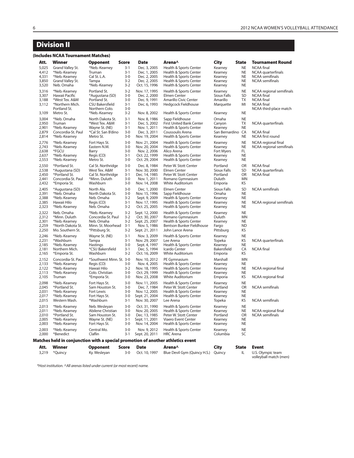# **Division II**

#### **(Includes NCAA Tournament Matches)**

| Att.                                               | Winner                                                                                             | Opponent                                                                                              | Score                                                        | Date                                                                                                | Arena^                                                                                                                                  | <b>City</b>                                                    | <b>State</b>                                                  | <b>Tournament Round</b>                                                                                           |
|----------------------------------------------------|----------------------------------------------------------------------------------------------------|-------------------------------------------------------------------------------------------------------|--------------------------------------------------------------|-----------------------------------------------------------------------------------------------------|-----------------------------------------------------------------------------------------------------------------------------------------|----------------------------------------------------------------|---------------------------------------------------------------|-------------------------------------------------------------------------------------------------------------------|
| 5,025<br>4,412<br>4,331<br>3,850<br>3,520          | Grand Valley St.<br>*Neb.-Kearney<br>*Neb.-Kearney<br>Grand Valley St.<br>Neb. Omaha               | *Neb.-Kearney<br>Truman<br>Cal St. L.A.<br>Tampa<br>*Neb.-Kearney                                     | $3 - 1$<br>$3 - 1$<br>$3-0$<br>$3-2$<br>$3 - 2$              | Dec. 3, 2005<br>Dec. 1, 2005<br>Dec. 2, 2005<br>Dec. 2, 2005<br>Oct. 15, 1996                       | Health & Sports Center<br>Health & Sports Center<br>Health & Sports Center<br>Health & Sports Center<br>Health & Sports Center          | Kearney<br>Kearney<br>Kearney<br>Kearney<br>Kearney            | <b>NE</b><br><b>NE</b><br><b>NE</b><br><b>NE</b><br><b>NE</b> | <b>NCAA</b> final<br>NCAA quarterfinals<br>NCAA semifinals<br><b>NCAA</b> semifinals                              |
| 3,316<br>3,307<br>3,188<br>3,112                   | *Neb.-Kearney<br>Hawaii Pacific<br>*West Tex. A&M<br>*Northern Mich.<br>Portland St.               | Portland St.<br>*Augustana (SD)<br>Portland St.<br><b>CSU Bakersfield</b><br>Northern Colo.           | $3-2$<br>$3 - 0$<br>$3 - 0$<br>$3 - 1$<br>$3 - 0$            | Nov. 17, 1995<br>Dec. 2, 2000<br>Dec. 9, 1991<br>Dec. 6, 1993                                       | Health & Sports Center<br>Elmen Center<br>Amarillo Civic Center<br><b>Hedgcock Fieldhouse</b>                                           | Kearney<br>Sioux Falls<br>Amarillo<br>Marquette                | <b>NE</b><br><b>SD</b><br><b>TX</b><br>MI                     | NCAA regional semifinals<br><b>NCAA</b> final<br><b>NCAA</b> final<br><b>NCAA</b> final<br>NCAA third-place match |
| 3,109                                              | Metro St.                                                                                          | *Neb.-Kearney                                                                                         | $3 - 2$                                                      | Nov. 8, 2002                                                                                        | Health & Sports Center                                                                                                                  | Kearney                                                        | <b>NE</b>                                                     |                                                                                                                   |
| 3,004<br>2,950<br>2,901<br>2,879<br>2,814          | *Neb. Omaha<br>Truman<br>*Neb.-Kearney<br>Concordia-St. Paul<br>*Neb.-Kearney                      | North Dakota St.<br>*West Tex. A&M<br>Wayne St. (NE)<br>*Cal St. San B'dino<br>Metro St.              | $3-1$<br>$3 - 1$<br>$3 - 1$<br>$3 - 0$<br>$3 - 0$            | Nov. 8, 1986<br>Dec. 5, 2002<br>Nov. 1, 2011<br>Dec. 3, 2011<br>Nov. 19, 2004                       | Sapp Fieldhouse<br><b>First United Bank Center</b><br>Health & Sports Center<br>Coussoulis Arena<br>Health & Sports Center              | Omaha<br>Canyon<br>Kearney<br>San Bernardino<br>Kearney        | <b>NE</b><br><b>TX</b><br><b>NE</b><br>CA<br><b>NE</b>        | NCAA quarterfinals<br><b>NCAA</b> final<br>NCAA first round                                                       |
| 2,776<br>2,743<br>2,638<br>2,637<br>2,553          | *Neb.-Kearney<br>*Neb.-Kearney<br>*FGCU<br>*Neb.-Kearney<br>*Neb.-Kearney                          | Fort Hays St.<br>Eastern N.M.<br>Barry<br>Regis (CO)<br>Metro St.                                     | $3 - 0$<br>$3 - 0$<br>$3-0$<br>$3-1$<br>$3 - 0$              | Nov. 21, 2004<br>Nov. 20, 2004<br>Nov. 2, 2006<br>Oct. 22, 1999<br>Oct. 29, 2004                    | Health & Sports Center<br>Health & Sports Center<br>Alico Arena<br>Health & Sports Center<br>Health & Sports Center                     | Kearney<br>Kearney<br>Fort Myers<br>Kearney<br>Kearney         | <b>NE</b><br><b>NE</b><br><b>FL</b><br><b>NE</b><br><b>NE</b> | NCAA regional final<br>NCAA regional semifinals                                                                   |
| 2,550<br>2,538<br>2,450<br>2,441<br>2,432          | *Portland St.<br>*Augustana (SD)<br>*Portland St.<br>Concordia-St. Paul<br>*Emporia St.            | Cal St. Northridge<br>West Tex. A&M<br>Cal St. Northridge<br>*Minn. Duluth<br>Washburn                | $3 - 0$<br>$3 - 1$<br>$3-1$<br>$3-0$<br>$3 - 0$              | Dec. 8, 1984<br>Nov. 30, 2000<br>Dec. 14, 1985<br>Nov. 1, 2011<br>Nov. 14, 2008                     | Peter W. Stott Center<br>Elmen Center<br>Peter W. Stott Center<br>Romano Gymnasium<br><b>White Auditorium</b>                           | Portland<br>Sioux Falls<br>Portland<br>Duluth<br>Emporia       | <b>OR</b><br><b>SD</b><br>OR<br><b>MN</b><br>KS               | <b>NCAA</b> final<br>NCAA quarterfinals<br><b>NCAA</b> final                                                      |
| 2,405<br>2,391<br>2,388<br>2,385<br>2,323          | *Augustana (SD)<br>*Neb. Omaha<br>*Neb.-Kearney<br>Hawaii Hilo<br>*Neb.-Kearney                    | North Ala.<br>North Dakota St.<br>Neb. Omaha<br>Regis (CO)<br>Neb. Omaha                              | $3 - 0$<br>$3 - 0$<br>$3 - 2$<br>$3 - 1$<br>$3 - 2$          | Dec. 1, 2000<br>Nov. 15, 1996<br>Sept. 9, 2009<br>Nov. 17, 1995<br>Oct. 25, 2005                    | <b>Elmen Center</b><br>Sapp Fieldhouse<br>Health & Sports Center<br>Health & Sports Center<br>Health & Sports Center                    | Sioux Falls<br>Omaha<br>Kearney<br>Kearney<br>Kearney          | SD<br><b>NE</b><br><b>NE</b><br><b>NE</b><br><b>NE</b>        | NCAA semifinals<br>NCAA regional semifinals                                                                       |
| 2,322<br>2,312<br>2,301<br>2,259<br>2,250          | Neb. Omaha<br>*Minn. Duluth<br>*Neb.-Kearney<br>*North Dakota St.<br>Mo. Southern St.              | *Neb.-Kearney<br>Concordia-St. Paul<br>Neb. Omaha<br>Minn. St. Moorhead<br>*Pittsburg St.             | $3 - 2$<br>$3 - 2$<br>$3 - 2$<br>$3-1$<br>$3 - 2$            | Sept. 12, 2000<br>Oct. 30, 2007<br>Sept. 25, 2007<br>Nov. 5, 1986<br>Sept. 21, 2011                 | Health & Sports Center<br>Romano Gymnasium<br>Health & Sports Center<br>Bentson Bunker Fieldhouse<br>John Lance Arena                   | Kearney<br>Duluth<br>Kearney<br>Fargo<br>Pittsburg             | <b>NE</b><br>MN<br><b>NE</b><br><b>ND</b><br>KS               |                                                                                                                   |
| 2,246<br>2,231<br>2,185<br>2,181<br>2,165          | *Neb.-Kearney<br>*Washburn<br>*Neb.-Kearney<br>Northern Mich.<br>*Emporia St.                      | Wayne St. (NE)<br>Tampa<br>Hastings<br>*CSU Bakersfield<br>Washburn                                   | $3 - 1$<br>$3 - 1$<br>$3 - 0$<br>$3 - 1$<br>$3 - 2$          | Nov. 3, 2009<br>Nov. 29, 2007<br>Sept. 4, 1997<br>Dec. 5, 1994<br>Oct. 16, 2009                     | Health & Sports Center<br>Lee Arena<br>Health & Sports Center<br>Icardo Center<br>White Auditorium                                      | Kearney<br>Topeka<br>Kearney<br>Bakersfield<br>Emporia         | <b>NE</b><br>KS<br><b>NE</b><br>CA<br>KS                      | NCAA quarterfinals<br><b>NCAA</b> final                                                                           |
| 2,152<br>2,133<br>2,122<br>2,113<br>2,105          | Concordia-St. Paul<br>*Neb.-Kearney<br>*Neb.-Kearney<br>*Neb.-Kearney<br>Truman                    | *Southwest Minn. St. 3-0<br>Regis (CO)<br>Hawaii Hilo<br>Colo. Christian<br>*Emporia St.              | $3 - 0$<br>$3 - 2$<br>$3 - 0$<br>$3 - 0$                     | Nov. 10, 2012<br>Nov. 4, 2005<br>Nov. 18, 1995<br>Oct. 29, 1999<br>Nov. 23, 2008                    | PE Gymnasium<br>Health & Sports Center<br>Health & Sports Center<br>Health & Sports Center<br>White Auditorium                          | Marshall<br>Kearney<br>Kearney<br>Kearney<br>Emporia           | <b>MN</b><br><b>NE</b><br><b>NE</b><br><b>NE</b><br>KS        | NCAA regional final<br>NCAA regional final                                                                        |
| 2,098<br>2,045<br>2,031<br>2,017                   | *Neb.-Kearney<br>*Portland St.<br>*Neb.-Kearney<br>*Neb.-Kearney                                   | Fort Hays St.<br>Sam Houston St.<br>Fort Lewis<br>Fort Hays St.                                       | $3 - 0$<br>$3 - 0$<br>$3 - 0$<br>$3 - 0$                     | Nov. 11, 2005<br>Dec. 7, 1984<br>Nov. 12, 2005<br>Sept. 21, 2004                                    | Health & Sports Center<br>Peter W. Stott Center<br>Health & Sports Center<br>Health & Sports Center                                     | Kearney<br>Portland<br>Kearney<br>Kearney                      | <b>NE</b><br>OR<br><b>NE</b><br><b>NE</b>                     | <b>NCAA</b> semifinals                                                                                            |
| 2,015<br>2,013<br>2,011<br>2,010<br>2,005<br>2,003 | Western Wash.<br>*Neb.-Kearney<br>*Neb.-Kearney<br>*Portland St.<br>*Neb.-Kearney<br>*Neb.-Kearney | *Washburn<br>Neb. Wesleyan<br>Abilene Christian<br>Sam Houston St.<br>Wayne St. (NE)<br>Fort Hays St. | $3-1$<br>$3 - 0$<br>$3 - 0$<br>$3 - 0$<br>$3 - 1$<br>$3 - 0$ | Nov. 30, 2007<br>Oct. 31, 1990<br>Nov. 20, 2005<br>Dec. 13, 1985<br>Sept. 11, 2001<br>Nov. 14, 2004 | Lee Arena<br>Health & Sports Center<br>Health & Sports Center<br>Peter W. Stott Center<br>Viaero Event Center<br>Health & Sports Center | Topeka<br>Kearney<br>Kearney<br>Portland<br>Kearney<br>Kearney | KS<br><b>NE</b><br><b>NE</b><br>OR<br><b>NE</b><br><b>NE</b>  | NCAA semifinals<br>NCAA regional final<br><b>NCAA</b> semifinals                                                  |
| 2,003<br>2,000                                     | *Neb.-Kearney<br>*Benedict                                                                         | Central Mo.<br>Claflin                                                                                | $3 - 0$<br>$3 - 1$                                           | Nov. 9, 2012<br>Sept. 20, 2011                                                                      | Health & Sports Center<br><b>HRC Arena</b>                                                                                              | Kearney<br>Columbia                                            | <b>NE</b><br>SC                                               |                                                                                                                   |
|                                                    |                                                                                                    | Matches held in conjunction with a special promotion of another athletics event                       |                                                              |                                                                                                     |                                                                                                                                         |                                                                |                                                               |                                                                                                                   |
| Att.<br>3,219                                      | Winner<br>*Quincy                                                                                  | <b>Opponent</b><br>Ky. Wesleyan                                                                       | <b>Score</b><br>$3 - 0$                                      | <b>Date</b><br>Oct. 10, 1997                                                                        | Arena^<br>Blue Devil Gym (Quincy H.S.)                                                                                                  | City<br>Quincy                                                 | <b>State</b><br>IL                                            | <b>Event</b><br>U.S. Olympic team                                                                                 |

volleyball match (men)<br>volleyball match (men)